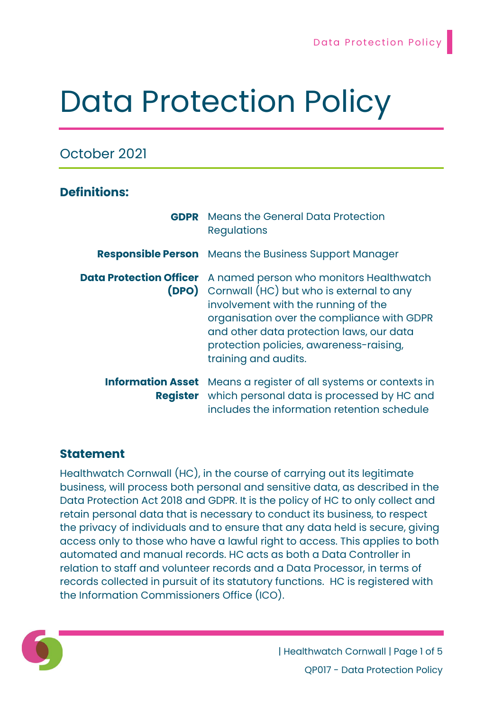# Data Protection Policy

# October 2021

# Definitions:

|                          | <b>GDPR</b> Means the General Data Protection<br><b>Regulations</b>                                                                                                                                                                                                                                                                 |  |  |
|--------------------------|-------------------------------------------------------------------------------------------------------------------------------------------------------------------------------------------------------------------------------------------------------------------------------------------------------------------------------------|--|--|
|                          | <b>Responsible Person</b> Means the Business Support Manager                                                                                                                                                                                                                                                                        |  |  |
|                          | <b>Data Protection Officer</b> A named person who monitors Healthwatch<br><b>(DPO)</b> Cornwall (HC) but who is external to any<br>involvement with the running of the<br>organisation over the compliance with GDPR<br>and other data protection laws, our data<br>protection policies, awareness-raising,<br>training and audits. |  |  |
| <b>Information Asset</b> | Means a register of all systems or contexts in<br><b>Register</b> which personal data is processed by HC and<br>includes the information retention schedule                                                                                                                                                                         |  |  |

# Statement

Healthwatch Cornwall (HC), in the course of carrying out its legitimate business, will process both personal and sensitive data, as described in the Data Protection Act 2018 and GDPR. It is the policy of HC to only collect and retain personal data that is necessary to conduct its business, to respect the privacy of individuals and to ensure that any data held is secure, giving access only to those who have a lawful right to access. This applies to both automated and manual records. HC acts as both a Data Controller in relation to staff and volunteer records and a Data Processor, in terms of records collected in pursuit of its statutory functions. HC is registered with the Information Commissioners Office (ICO).



| Healthwatch Cornwall | Page 1 of 5 QP017 - Data Protection Policy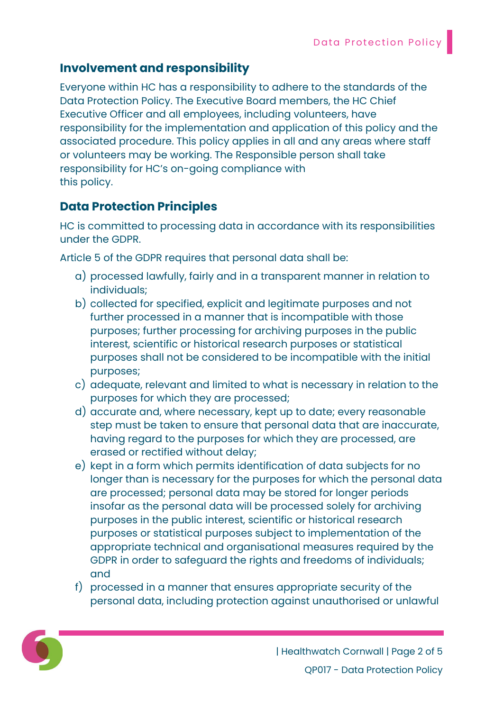## Involvement and responsibility

Everyone within HC has a responsibility to adhere to the standards of the Data Protection Policy. The Executive Board members, the HC Chief Executive Officer and all employees, including volunteers, have responsibility for the implementation and application of this policy and the associated procedure. This policy applies in all and any areas where staff or volunteers may be working. The Responsible person shall take responsibility for HC's on-going compliance with this policy.

# Data Protection Principles

HC is committed to processing data in accordance with its responsibilities under the GDPR.

Article 5 of the GDPR requires that personal data shall be:

- a) processed lawfully, fairly and in a transparent manner in relation to individuals;
- b) collected for specified, explicit and legitimate purposes and not further processed in a manner that is incompatible with those purposes; further processing for archiving purposes in the public interest, scientific or historical research purposes or statistical purposes shall not be considered to be incompatible with the initial purposes;
- c) adequate, relevant and limited to what is necessary in relation to the purposes for which they are processed;
- d) accurate and, where necessary, kept up to date; every reasonable step must be taken to ensure that personal data that are inaccurate, having regard to the purposes for which they are processed, are erased or rectified without delay;
- e) kept in a form which permits identification of data subjects for no longer than is necessary for the purposes for which the personal data are processed; personal data may be stored for longer periods insofar as the personal data will be processed solely for archiving purposes in the public interest, scientific or historical research purposes or statistical purposes subject to implementation of the appropriate technical and organisational measures required by the GDPR in order to safeguard the rights and freedoms of individuals; and
- f) processed in a manner that ensures appropriate security of the personal data, including protection against unauthorised or unlawful

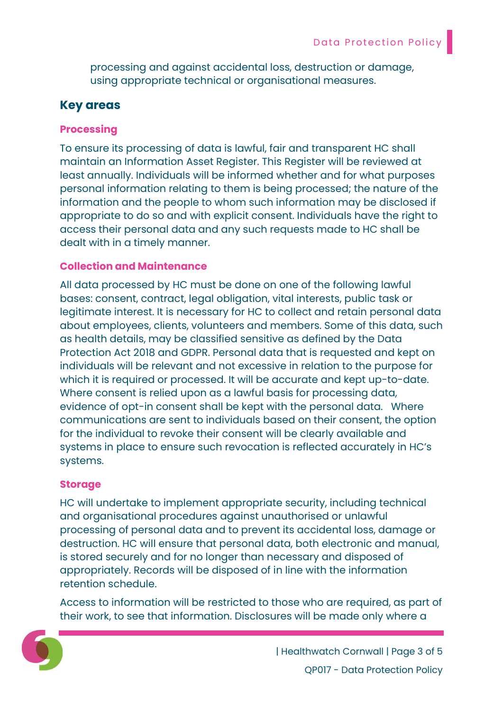processing and against accidental loss, destruction or damage, using appropriate technical or organisational measures.

## Key areas

#### **Processing**

To ensure its processing of data is lawful, fair and transparent HC shall maintain an Information Asset Register. This Register will be reviewed at least annually. Individuals will be informed whether and for what purposes personal information relating to them is being processed; the nature of the information and the people to whom such information may be disclosed if appropriate to do so and with explicit consent. Individuals have the right to access their personal data and any such requests made to HC shall be dealt with in a timely manner.

#### Collection and Maintenance

All data processed by HC must be done on one of the following lawful bases: consent, contract, legal obligation, vital interests, public task or legitimate interest. It is necessary for HC to collect and retain personal data about employees, clients, volunteers and members. Some of this data, such as health details, may be classified sensitive as defined by the Data Protection Act 2018 and GDPR. Personal data that is requested and kept on individuals will be relevant and not excessive in relation to the purpose for which it is required or processed. It will be accurate and kept up-to-date. Where consent is relied upon as a lawful basis for processing data, evidence of opt-in consent shall be kept with the personal data. Where communications are sent to individuals based on their consent, the option for the individual to revoke their consent will be clearly available and systems in place to ensure such revocation is reflected accurately in HC's systems.

#### Storage

HC will undertake to implement appropriate security, including technical and organisational procedures against unauthorised or unlawful processing of personal data and to prevent its accidental loss, damage or destruction. HC will ensure that personal data, both electronic and manual, is stored securely and for no longer than necessary and disposed of appropriately. Records will be disposed of in line with the information retention schedule.

Access to information will be restricted to those who are required, as part of their work, to see that information. Disclosures will be made only where a

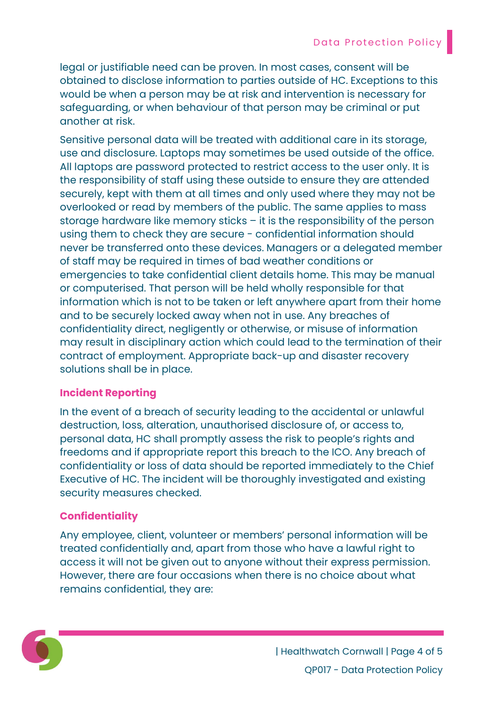legal or justifiable need can be proven. In most cases, consent will be obtained to disclose information to parties outside of HC. Exceptions to this would be when a person may be at risk and intervention is necessary for safeguarding, or when behaviour of that person may be criminal or put another at risk.

Sensitive personal data will be treated with additional care in its storage, use and disclosure. Laptops may sometimes be used outside of the office. All laptops are password protected to restrict access to the user only. It is the responsibility of staff using these outside to ensure they are attended securely, kept with them at all times and only used where they may not be overlooked or read by members of the public. The same applies to mass storage hardware like memory sticks – it is the responsibility of the person using them to check they are secure - confidential information should never be transferred onto these devices. Managers or a delegated member of staff may be required in times of bad weather conditions or emergencies to take confidential client details home. This may be manual or computerised. That person will be held wholly responsible for that information which is not to be taken or left anywhere apart from their home and to be securely locked away when not in use. Any breaches of confidentiality direct, negligently or otherwise, or misuse of information may result in disciplinary action which could lead to the termination of their contract of employment. Appropriate back-up and disaster recovery solutions shall be in place.

## Incident Reporting

In the event of a breach of security leading to the accidental or unlawful destruction, loss, alteration, unauthorised disclosure of, or access to, personal data, HC shall promptly assess the risk to people's rights and freedoms and if appropriate report this breach to the ICO. Any breach of confidentiality or loss of data should be reported immediately to the Chief Executive of HC. The incident will be thoroughly investigated and existing security measures checked.

## **Confidentiality**

Any employee, client, volunteer or members' personal information will be treated confidentially and, apart from those who have a lawful right to access it will not be given out to anyone without their express permission. However, there are four occasions when there is no choice about what remains confidential, they are:



| Healthwatch Cornwall | Page 4 of 5 QP017 - Data Protection Policy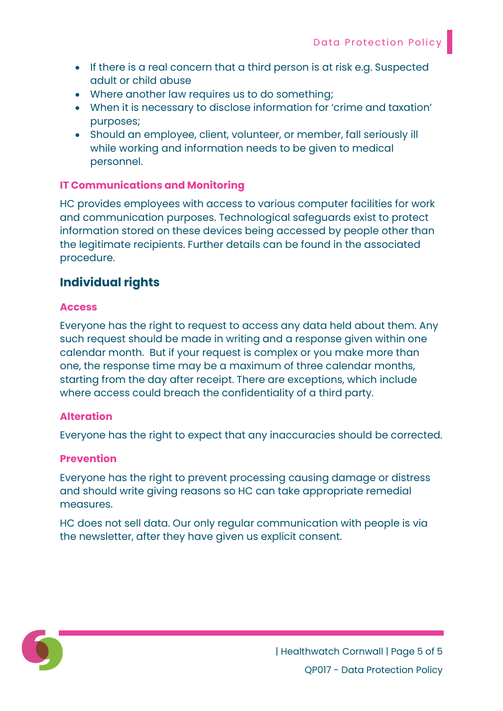- If there is a real concern that a third person is at risk e.g. Suspected adult or child abuse
- Where another law requires us to do something;
- When it is necessary to disclose information for 'crime and taxation' purposes;
- Should an employee, client, volunteer, or member, fall seriously ill while working and information needs to be given to medical personnel.

## IT Communications and Monitoring

HC provides employees with access to various computer facilities for work and communication purposes. Technological safeguards exist to protect information stored on these devices being accessed by people other than the legitimate recipients. Further details can be found in the associated procedure.

## Individual rights

#### Access

Everyone has the right to request to access any data held about them. Any such request should be made in writing and a response given within one calendar month. But if your request is complex or you make more than one, the response time may be a maximum of three calendar months, starting from the day after receipt. There are exceptions, which include where access could breach the confidentiality of a third party.

#### Alteration

Everyone has the right to expect that any inaccuracies should be corrected.

#### Prevention

Everyone has the right to prevent processing causing damage or distress and should write giving reasons so HC can take appropriate remedial measures.

HC does not sell data. Our only regular communication with people is via the newsletter, after they have given us explicit consent.

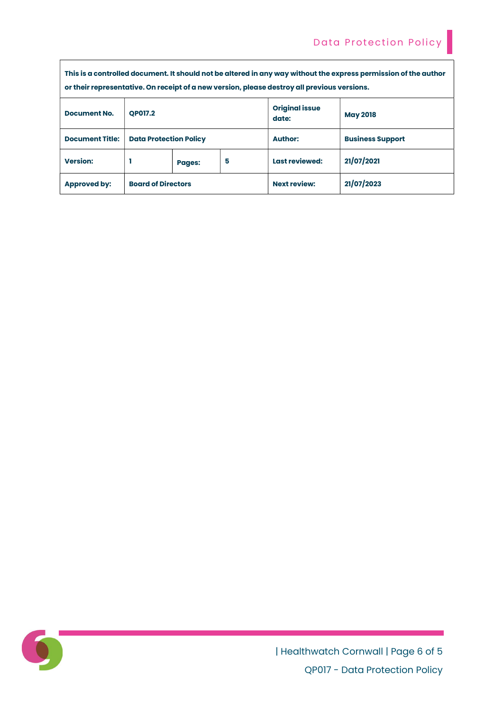| This is a controlled document. It should not be altered in any way without the express permission of the author<br>or their representative. On receipt of a new version, please destroy all previous versions. |                               |               |   |                                |                         |  |
|----------------------------------------------------------------------------------------------------------------------------------------------------------------------------------------------------------------|-------------------------------|---------------|---|--------------------------------|-------------------------|--|
| <b>Document No.</b>                                                                                                                                                                                            | <b>OP017.2</b>                |               |   | <b>Original issue</b><br>date: | <b>May 2018</b>         |  |
| <b>Document Title:</b>                                                                                                                                                                                         | <b>Data Protection Policy</b> |               |   | <b>Author:</b>                 | <b>Business Support</b> |  |
| <b>Version:</b>                                                                                                                                                                                                |                               | <b>Pages:</b> | 5 | Last reviewed:                 | 21/07/2021              |  |
| <b>Approved by:</b>                                                                                                                                                                                            | <b>Board of Directors</b>     |               |   | <b>Next review:</b>            | 21/07/2023              |  |



| Healthwatch Cornwall | Page 6 of 5 QP017 - Data Protection Policy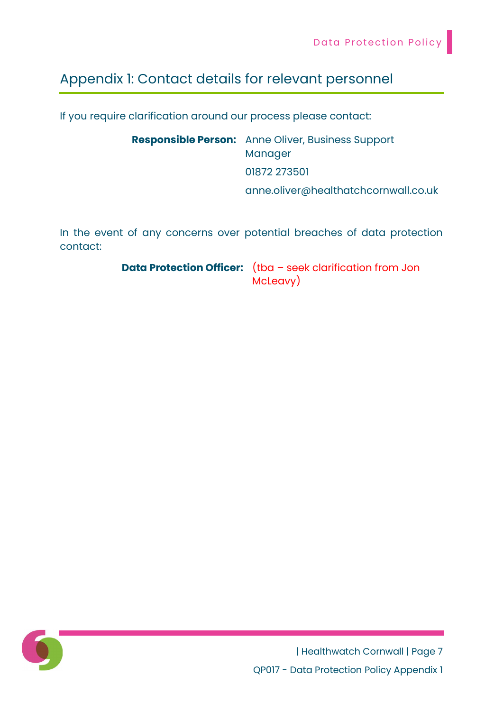# Appendix 1: Contact details for relevant personnel

If you require clarification around our process please contact:

Responsible Person: Anne Oliver, Business Support Manager 01872 273501 anne.oliver@healthatchcornwall.co.uk

In the event of any concerns over potential breaches of data protection contact:

> Data Protection Officer: (tba – seek clarification from Jon McLeavy)

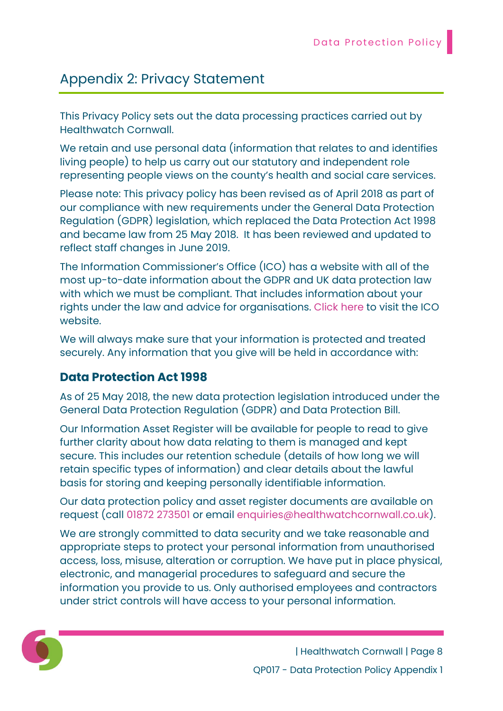# Appendix 2: Privacy Statement

This Privacy Policy sets out the data processing practices carried out by Healthwatch Cornwall.

We retain and use personal data (information that relates to and identifies living people) to help us carry out our statutory and independent role representing people views on the county's health and social care services.

Please note: This privacy policy has been revised as of April 2018 as part of our compliance with new requirements under the General Data Protection Regulation (GDPR) legislation, which replaced the Data Protection Act 1998 and became law from 25 May 2018. It has been reviewed and updated to reflect staff changes in June 2019.

The Information Commissioner's Office (ICO) has a website with all of the most up-to-date information about the GDPR and UK data protection law with which we must be compliant. That includes information about your rights under the law and advice for organisations. Click here to visit the ICO website.

We will always make sure that your information is protected and treated securely. Any information that you give will be held in accordance with:

# Data Protection Act 1998

As of 25 May 2018, the new data protection legislation introduced under the General Data Protection Regulation (GDPR) and Data Protection Bill.

Our Information Asset Register will be available for people to read to give further clarity about how data relating to them is managed and kept secure. This includes our retention schedule (details of how long we will retain specific types of information) and clear details about the lawful basis for storing and keeping personally identifiable information.

Our data protection policy and asset register documents are available on request (call 01872 273501 or email enquiries@healthwatchcornwall.co.uk).

We are strongly committed to data security and we take reasonable and appropriate steps to protect your personal information from unauthorised access, loss, misuse, alteration or corruption. We have put in place physical, electronic, and managerial procedures to safeguard and secure the information you provide to us. Only authorised employees and contractors under strict controls will have access to your personal information.

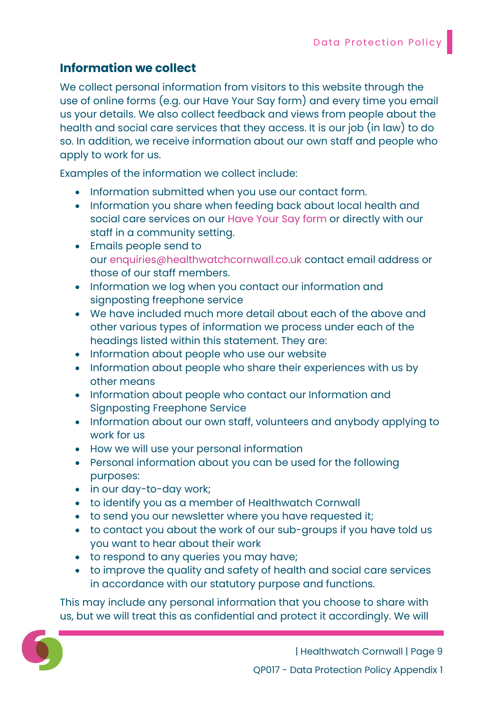# Information we collect

We collect personal information from visitors to this website through the use of online forms (e.g. our Have Your Say form) and every time you email us your details. We also collect feedback and views from people about the health and social care services that they access. It is our job (in law) to do so. In addition, we receive information about our own staff and people who apply to work for us.

Examples of the information we collect include:

- Information submitted when you use our contact form.
- Information you share when feeding back about local health and social care services on our Have Your Say form or directly with our staff in a community setting.
- Emails people send to our enquiries@healthwatchcornwall.co.uk contact email address or those of our staff members.
- Information we log when you contact our information and signposting freephone service
- We have included much more detail about each of the above and other various types of information we process under each of the headings listed within this statement. They are:
- Information about people who use our website
- Information about people who share their experiences with us by other means
- Information about people who contact our Information and Signposting Freephone Service
- Information about our own staff, volunteers and anybody applying to work for us
- How we will use your personal information
- Personal information about you can be used for the following purposes:
- in our day-to-day work;
- to identify you as a member of Healthwatch Cornwall
- to send you our newsletter where you have requested it;
- to contact you about the work of our sub-groups if you have told us you want to hear about their work
- to respond to any queries you may have;
- to improve the quality and safety of health and social care services in accordance with our statutory purpose and functions.

This may include any personal information that you choose to share with us, but we will treat this as confidential and protect it accordingly. We will

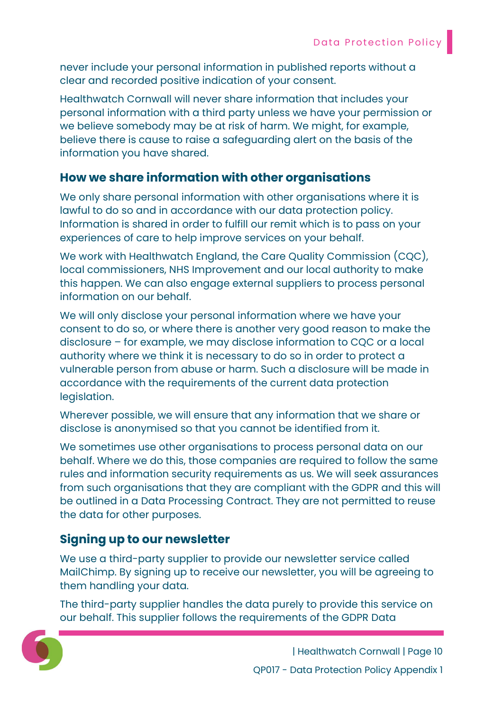never include your personal information in published reports without a clear and recorded positive indication of your consent.

Healthwatch Cornwall will never share information that includes your personal information with a third party unless we have your permission or we believe somebody may be at risk of harm. We might, for example, believe there is cause to raise a safeguarding alert on the basis of the information you have shared.

# How we share information with other organisations

We only share personal information with other organisations where it is lawful to do so and in accordance with our data protection policy. Information is shared in order to fulfill our remit which is to pass on your experiences of care to help improve services on your behalf.

We work with Healthwatch England, the Care Quality Commission (CQC), local commissioners, NHS Improvement and our local authority to make this happen. We can also engage external suppliers to process personal information on our behalf.

We will only disclose your personal information where we have your consent to do so, or where there is another very good reason to make the disclosure – for example, we may disclose information to CQC or a local authority where we think it is necessary to do so in order to protect a vulnerable person from abuse or harm. Such a disclosure will be made in accordance with the requirements of the current data protection legislation.

Wherever possible, we will ensure that any information that we share or disclose is anonymised so that you cannot be identified from it.

We sometimes use other organisations to process personal data on our behalf. Where we do this, those companies are required to follow the same rules and information security requirements as us. We will seek assurances from such organisations that they are compliant with the GDPR and this will be outlined in a Data Processing Contract. They are not permitted to reuse the data for other purposes.

# Signing up to our newsletter

We use a third-party supplier to provide our newsletter service called MailChimp. By signing up to receive our newsletter, you will be agreeing to them handling your data.

The third-party supplier handles the data purely to provide this service on our behalf. This supplier follows the requirements of the GDPR Data

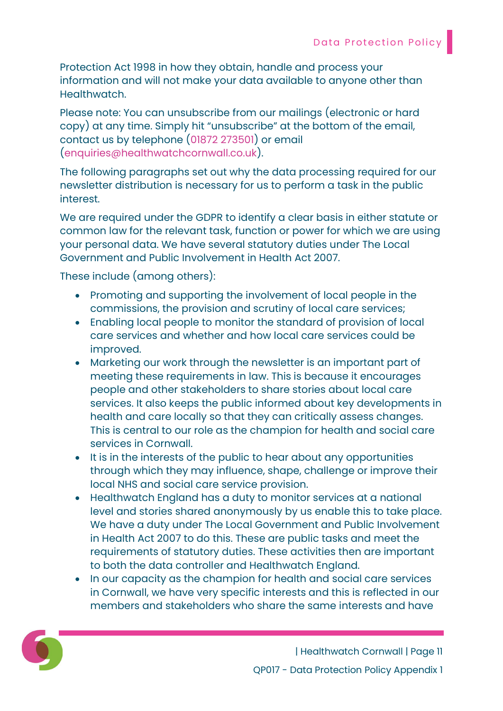Protection Act 1998 in how they obtain, handle and process your information and will not make your data available to anyone other than Healthwatch.

Please note: You can unsubscribe from our mailings (electronic or hard copy) at any time. Simply hit "unsubscribe" at the bottom of the email, contact us by telephone (01872 273501) or email (enquiries@healthwatchcornwall.co.uk).

The following paragraphs set out why the data processing required for our newsletter distribution is necessary for us to perform a task in the public interest.

We are required under the GDPR to identify a clear basis in either statute or common law for the relevant task, function or power for which we are using your personal data. We have several statutory duties under The Local Government and Public Involvement in Health Act 2007.

These include (among others):

- Promoting and supporting the involvement of local people in the commissions, the provision and scrutiny of local care services;
- Enabling local people to monitor the standard of provision of local care services and whether and how local care services could be improved.
- Marketing our work through the newsletter is an important part of meeting these requirements in law. This is because it encourages people and other stakeholders to share stories about local care services. It also keeps the public informed about key developments in health and care locally so that they can critically assess changes. This is central to our role as the champion for health and social care services in Cornwall.
- It is in the interests of the public to hear about any opportunities through which they may influence, shape, challenge or improve their local NHS and social care service provision.
- Healthwatch England has a duty to monitor services at a national level and stories shared anonymously by us enable this to take place. We have a duty under The Local Government and Public Involvement in Health Act 2007 to do this. These are public tasks and meet the requirements of statutory duties. These activities then are important to both the data controller and Healthwatch England.
- In our capacity as the champion for health and social care services in Cornwall, we have very specific interests and this is reflected in our members and stakeholders who share the same interests and have

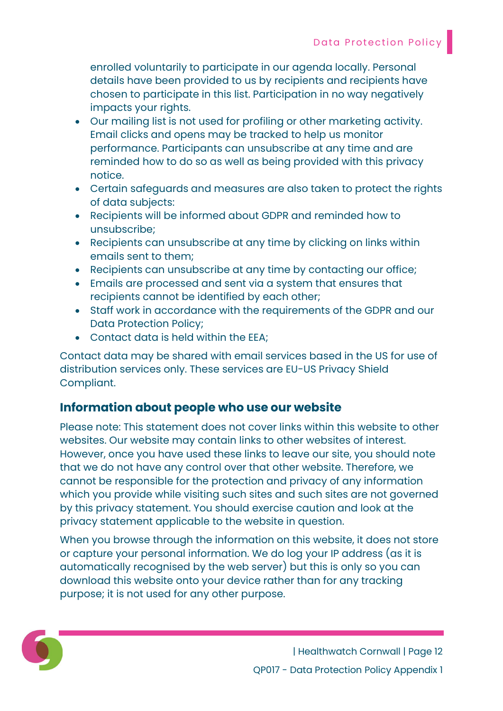enrolled voluntarily to participate in our agenda locally. Personal details have been provided to us by recipients and recipients have chosen to participate in this list. Participation in no way negatively impacts your rights.

- Our mailing list is not used for profiling or other marketing activity. Email clicks and opens may be tracked to help us monitor performance. Participants can unsubscribe at any time and are reminded how to do so as well as being provided with this privacy notice.
- Certain safeguards and measures are also taken to protect the rights of data subjects:
- Recipients will be informed about GDPR and reminded how to unsubscribe;
- Recipients can unsubscribe at any time by clicking on links within emails sent to them;
- Recipients can unsubscribe at any time by contacting our office;
- Emails are processed and sent via a system that ensures that recipients cannot be identified by each other;
- Staff work in accordance with the requirements of the GDPR and our Data Protection Policy;
- Contact data is held within the EEA;

Contact data may be shared with email services based in the US for use of distribution services only. These services are EU-US Privacy Shield Compliant.

# Information about people who use our website

Please note: This statement does not cover links within this website to other websites. Our website may contain links to other websites of interest. However, once you have used these links to leave our site, you should note that we do not have any control over that other website. Therefore, we cannot be responsible for the protection and privacy of any information which you provide while visiting such sites and such sites are not governed by this privacy statement. You should exercise caution and look at the privacy statement applicable to the website in question.

When you browse through the information on this website, it does not store or capture your personal information. We do log your IP address (as it is automatically recognised by the web server) but this is only so you can download this website onto your device rather than for any tracking purpose; it is not used for any other purpose.

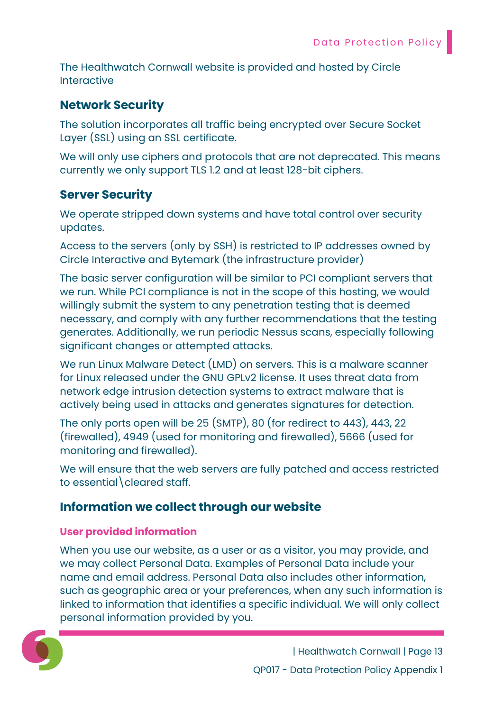The Healthwatch Cornwall website is provided and hosted by Circle Interactive

# Network Security

The solution incorporates all traffic being encrypted over Secure Socket Layer (SSL) using an SSL certificate.

We will only use ciphers and protocols that are not deprecated. This means currently we only support TLS 1.2 and at least 128-bit ciphers.

# Server Security

We operate stripped down systems and have total control over security updates.

Access to the servers (only by SSH) is restricted to IP addresses owned by Circle Interactive and Bytemark (the infrastructure provider)

The basic server configuration will be similar to PCI compliant servers that we run. While PCI compliance is not in the scope of this hosting, we would willingly submit the system to any penetration testing that is deemed necessary, and comply with any further recommendations that the testing generates. Additionally, we run periodic Nessus scans, especially following significant changes or attempted attacks.

We run Linux Malware Detect (LMD) on servers. This is a malware scanner for Linux released under the GNU GPLv2 license. It uses threat data from network edge intrusion detection systems to extract malware that is actively being used in attacks and generates signatures for detection.

The only ports open will be 25 (SMTP), 80 (for redirect to 443), 443, 22 (firewalled), 4949 (used for monitoring and firewalled), 5666 (used for monitoring and firewalled).

We will ensure that the web servers are fully patched and access restricted to essential\cleared staff.

# Information we collect through our website

## User provided information

When you use our website, as a user or as a visitor, you may provide, and we may collect Personal Data. Examples of Personal Data include your name and email address. Personal Data also includes other information, such as geographic area or your preferences, when any such information is linked to information that identifies a specific individual. We will only collect personal information provided by you.

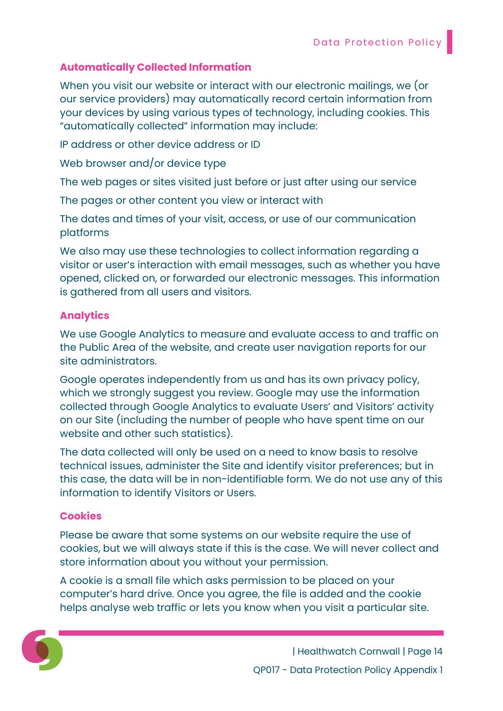## Automatically Collected Information

When you visit our website or interact with our electronic mailings, we (or our service providers) may automatically record certain information from your devices by using various types of technology, including cookies. This "automatically collected" information may include:

IP address or other device address or ID

Web browser and/or device type

The web pages or sites visited just before or just after using our service

The pages or other content you view or interact with

The dates and times of your visit, access, or use of our communication platforms

We also may use these technologies to collect information regarding a visitor or user's interaction with email messages, such as whether you have opened, clicked on, or forwarded our electronic messages. This information is gathered from all users and visitors.

#### Analytics

We use Google Analytics to measure and evaluate access to and traffic on the Public Area of the website, and create user navigation reports for our site administrators.

Google operates independently from us and has its own privacy policy, which we strongly suggest you review. Google may use the information collected through Google Analytics to evaluate Users' and Visitors' activity on our Site (including the number of people who have spent time on our website and other such statistics).

The data collected will only be used on a need to know basis to resolve technical issues, administer the Site and identify visitor preferences; but in this case, the data will be in non-identifiable form. We do not use any of this information to identify Visitors or Users.

#### **Cookies**

Please be aware that some systems on our website require the use of cookies, but we will always state if this is the case. We will never collect and store information about you without your permission.

A cookie is a small file which asks permission to be placed on your computer's hard drive. Once you agree, the file is added and the cookie helps analyse web traffic or lets you know when you visit a particular site.

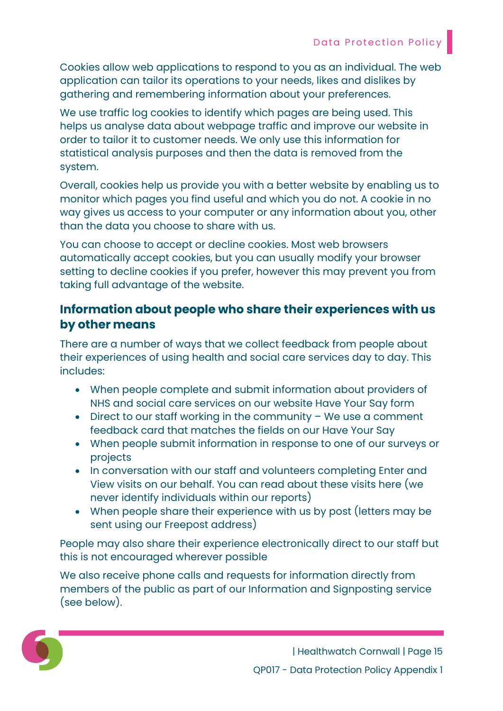Cookies allow web applications to respond to you as an individual. The web application can tailor its operations to your needs, likes and dislikes by gathering and remembering information about your preferences.

We use traffic log cookies to identify which pages are being used. This helps us analyse data about webpage traffic and improve our website in order to tailor it to customer needs. We only use this information for statistical analysis purposes and then the data is removed from the system.

Overall, cookies help us provide you with a better website by enabling us to monitor which pages you find useful and which you do not. A cookie in no way gives us access to your computer or any information about you, other than the data you choose to share with us.

You can choose to accept or decline cookies. Most web browsers automatically accept cookies, but you can usually modify your browser setting to decline cookies if you prefer, however this may prevent you from taking full advantage of the website.

# Information about people who share their experiences with us by other means

There are a number of ways that we collect feedback from people about their experiences of using health and social care services day to day. This includes:

- When people complete and submit information about providers of NHS and social care services on our website Have Your Say form
- $\bullet$  Direct to our staff working in the community We use a comment feedback card that matches the fields on our Have Your Say
- When people submit information in response to one of our surveys or projects
- In conversation with our staff and volunteers completing Enter and View visits on our behalf. You can read about these visits here (we never identify individuals within our reports)
- When people share their experience with us by post (letters may be sent using our Freepost address)

People may also share their experience electronically direct to our staff but this is not encouraged wherever possible

We also receive phone calls and requests for information directly from members of the public as part of our Information and Signposting service (see below).

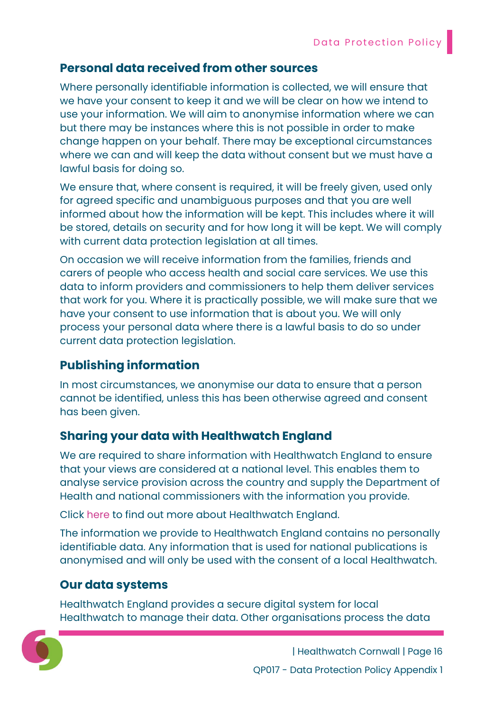## Personal data received from other sources

Where personally identifiable information is collected, we will ensure that we have your consent to keep it and we will be clear on how we intend to use your information. We will aim to anonymise information where we can but there may be instances where this is not possible in order to make change happen on your behalf. There may be exceptional circumstances where we can and will keep the data without consent but we must have a lawful basis for doing so.

We ensure that, where consent is required, it will be freely given, used only for agreed specific and unambiguous purposes and that you are well informed about how the information will be kept. This includes where it will be stored, details on security and for how long it will be kept. We will comply with current data protection legislation at all times.

On occasion we will receive information from the families, friends and carers of people who access health and social care services. We use this data to inform providers and commissioners to help them deliver services that work for you. Where it is practically possible, we will make sure that we have your consent to use information that is about you. We will only process your personal data where there is a lawful basis to do so under current data protection legislation.

# Publishing information

In most circumstances, we anonymise our data to ensure that a person cannot be identified, unless this has been otherwise agreed and consent has been given.

# Sharing your data with Healthwatch England

We are required to share information with Healthwatch England to ensure that your views are considered at a national level. This enables them to analyse service provision across the country and supply the Department of Health and national commissioners with the information you provide.

Click here to find out more about Healthwatch England.

The information we provide to Healthwatch England contains no personally identifiable data. Any information that is used for national publications is anonymised and will only be used with the consent of a local Healthwatch.

# Our data systems

Healthwatch England provides a secure digital system for local Healthwatch to manage their data. Other organisations process the data

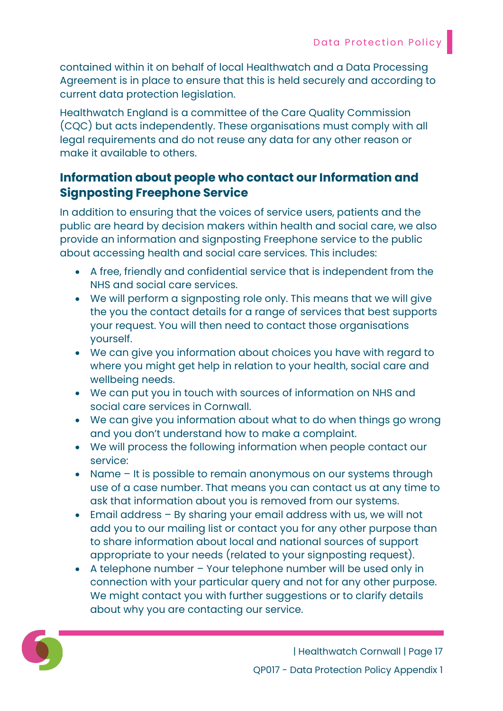contained within it on behalf of local Healthwatch and a Data Processing Agreement is in place to ensure that this is held securely and according to current data protection legislation.

Healthwatch England is a committee of the Care Quality Commission (CQC) but acts independently. These organisations must comply with all legal requirements and do not reuse any data for any other reason or make it available to others.

# Information about people who contact our Information and Signposting Freephone Service

In addition to ensuring that the voices of service users, patients and the public are heard by decision makers within health and social care, we also provide an information and signposting Freephone service to the public about accessing health and social care services. This includes:

- A free, friendly and confidential service that is independent from the NHS and social care services.
- We will perform a signposting role only. This means that we will give the you the contact details for a range of services that best supports your request. You will then need to contact those organisations yourself.
- We can give you information about choices you have with regard to where you might get help in relation to your health, social care and wellbeing needs.
- We can put you in touch with sources of information on NHS and social care services in Cornwall.
- We can give you information about what to do when things go wrong and you don't understand how to make a complaint.
- We will process the following information when people contact our service:
- Name It is possible to remain anonymous on our systems through use of a case number. That means you can contact us at any time to ask that information about you is removed from our systems.
- Email address By sharing your email address with us, we will not add you to our mailing list or contact you for any other purpose than to share information about local and national sources of support appropriate to your needs (related to your signposting request).
- A telephone number Your telephone number will be used only in connection with your particular query and not for any other purpose. We might contact you with further suggestions or to clarify details about why you are contacting our service.

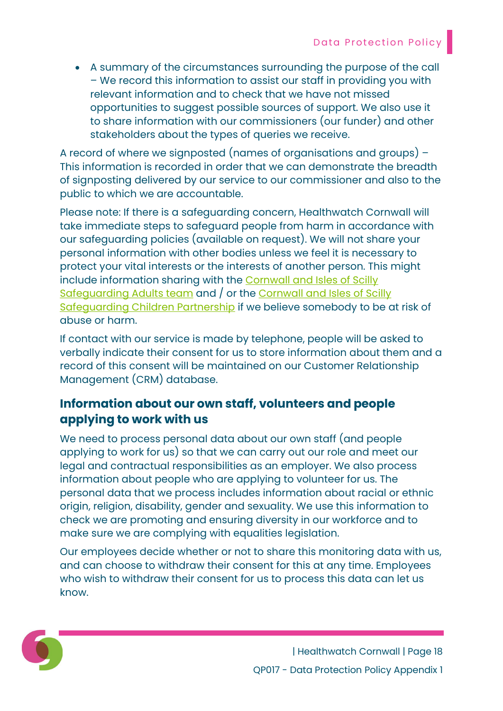A summary of the circumstances surrounding the purpose of the call – We record this information to assist our staff in providing you with relevant information and to check that we have not missed opportunities to suggest possible sources of support. We also use it to share information with our commissioners (our funder) and other stakeholders about the types of queries we receive.

A record of where we signposted (names of organisations and groups) – This information is recorded in order that we can demonstrate the breadth of signposting delivered by our service to our commissioner and also to the public to which we are accountable.

Please note: If there is a safeguarding concern, Healthwatch Cornwall will take immediate steps to safeguard people from harm in accordance with our safeguarding policies (available on request). We will not share your personal information with other bodies unless we feel it is necessary to protect your vital interests or the interests of another person. This might include information sharing with the Cornwall and Isles of Scilly Safeguarding Adults team and / or the Cornwall and Isles of Scilly Safeguarding Children Partnership if we believe somebody to be at risk of abuse or harm.

If contact with our service is made by telephone, people will be asked to verbally indicate their consent for us to store information about them and a record of this consent will be maintained on our Customer Relationship Management (CRM) database.

# Information about our own staff, volunteers and people applying to work with us

We need to process personal data about our own staff (and people applying to work for us) so that we can carry out our role and meet our legal and contractual responsibilities as an employer. We also process information about people who are applying to volunteer for us. The personal data that we process includes information about racial or ethnic origin, religion, disability, gender and sexuality. We use this information to check we are promoting and ensuring diversity in our workforce and to make sure we are complying with equalities legislation.

Our employees decide whether or not to share this monitoring data with us, and can choose to withdraw their consent for this at any time. Employees who wish to withdraw their consent for us to process this data can let us know.

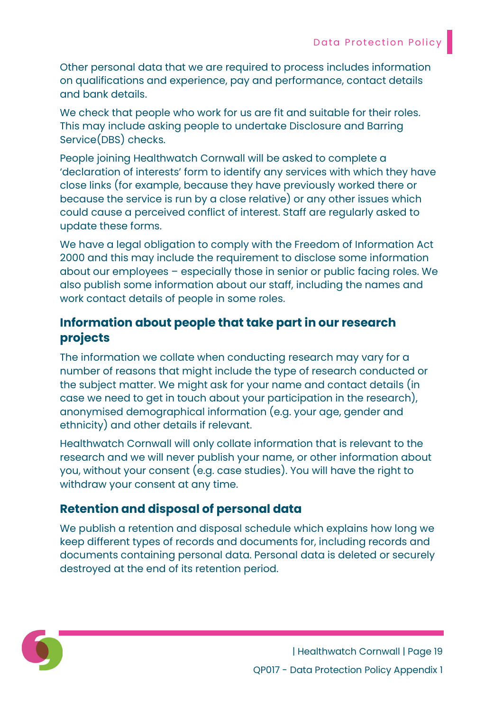Other personal data that we are required to process includes information on qualifications and experience, pay and performance, contact details and bank details.

We check that people who work for us are fit and suitable for their roles. This may include asking people to undertake Disclosure and Barring Service(DBS) checks.

People joining Healthwatch Cornwall will be asked to complete a 'declaration of interests' form to identify any services with which they have close links (for example, because they have previously worked there or because the service is run by a close relative) or any other issues which could cause a perceived conflict of interest. Staff are regularly asked to update these forms.

We have a legal obligation to comply with the Freedom of Information Act 2000 and this may include the requirement to disclose some information about our employees – especially those in senior or public facing roles. We also publish some information about our staff, including the names and work contact details of people in some roles.

# Information about people that take part in our research projects

The information we collate when conducting research may vary for a number of reasons that might include the type of research conducted or the subject matter. We might ask for your name and contact details (in case we need to get in touch about your participation in the research), anonymised demographical information (e.g. your age, gender and ethnicity) and other details if relevant.

Healthwatch Cornwall will only collate information that is relevant to the research and we will never publish your name, or other information about you, without your consent (e.g. case studies). You will have the right to withdraw your consent at any time.

# Retention and disposal of personal data

We publish a retention and disposal schedule which explains how long we keep different types of records and documents for, including records and documents containing personal data. Personal data is deleted or securely destroyed at the end of its retention period.